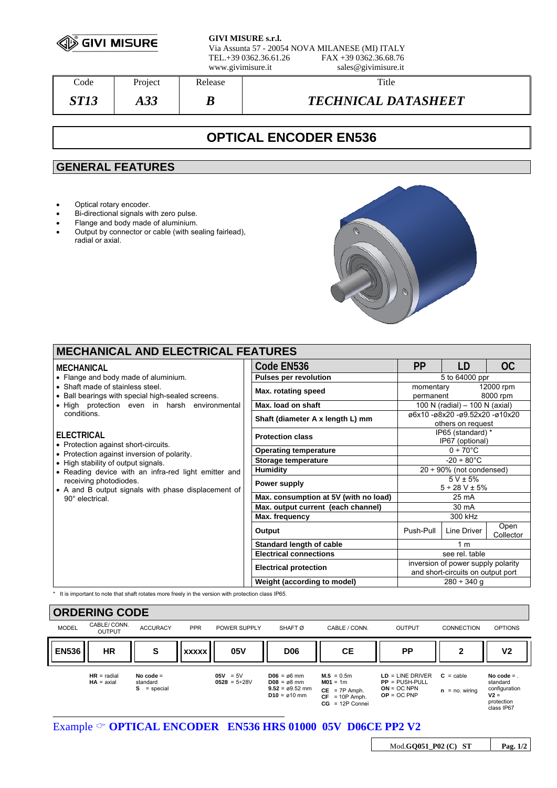

**GIVI MISURE s.r.l.** Via Assunta 57 - 20054 NOVA MILANESE (MI) ITALY FAX +39 0362.36.68.76 www.givimisure.it sales@givimisure.it

Code Project Release Number 2016 *ST13 A33 B TECHNICAL DATASHEET* 

# **OPTICAL ENCODER EN536**

## **GENERAL FEATURES**

- Optical rotary encoder.
- Bi-directional signals with zero pulse.
- Flange and body made of aluminium.
- Output by connector or cable (with sealing fairlead), radial or axial.



| <b>MECHANICAL AND ELECTRICAL FEATURES</b>                                                                                                                                                                                                                                                                                                        |                              |                                       |                                                                         |             |                   |  |  |  |  |  |
|--------------------------------------------------------------------------------------------------------------------------------------------------------------------------------------------------------------------------------------------------------------------------------------------------------------------------------------------------|------------------------------|---------------------------------------|-------------------------------------------------------------------------|-------------|-------------------|--|--|--|--|--|
| MECHANICAL                                                                                                                                                                                                                                                                                                                                       |                              | Code EN536                            | <b>PP</b>                                                               | LD          | OC                |  |  |  |  |  |
| • Flange and body made of aluminium.<br>• Shaft made of stainless steel.<br>• Ball bearings with special high-sealed screens.<br>• High protection even in harsh environmental<br>conditions.<br><b>ELECTRICAL</b><br>• Protection against short-circuits.<br>• Protection against inversion of polarity.<br>• High stability of output signals. |                              | <b>Pulses per revolution</b>          | 5 to 64000 ppr                                                          |             |                   |  |  |  |  |  |
|                                                                                                                                                                                                                                                                                                                                                  |                              | Max. rotating speed                   | 12000 rpm<br>momentary<br>8000 rpm<br>permanent                         |             |                   |  |  |  |  |  |
|                                                                                                                                                                                                                                                                                                                                                  |                              | Max. load on shaft                    | 100 N (radial) - 100 N (axial)                                          |             |                   |  |  |  |  |  |
|                                                                                                                                                                                                                                                                                                                                                  |                              | Shaft (diameter A x length L) mm      | ø6x10 -ø8x20 -ø9.52x20 -ø10x20<br>others on request                     |             |                   |  |  |  |  |  |
|                                                                                                                                                                                                                                                                                                                                                  |                              | <b>Protection class</b>               | IP65 (standard) *<br>IP67 (optional)                                    |             |                   |  |  |  |  |  |
|                                                                                                                                                                                                                                                                                                                                                  | <b>Operating temperature</b> | $0 + 70^{\circ}$ C                    |                                                                         |             |                   |  |  |  |  |  |
|                                                                                                                                                                                                                                                                                                                                                  |                              | Storage temperature                   | $-20 \div 80^{\circ}$ C                                                 |             |                   |  |  |  |  |  |
| • Reading device with an infra-red light emitter and                                                                                                                                                                                                                                                                                             |                              | <b>Humidity</b>                       | $20 \div 90\%$ (not condensed)                                          |             |                   |  |  |  |  |  |
| receiving photodiodes.<br>• A and B output signals with phase displacement of<br>90° electrical.                                                                                                                                                                                                                                                 |                              | Power supply                          | $5 V \pm 5%$<br>$5 \div 28$ V $\pm$ 5%                                  |             |                   |  |  |  |  |  |
|                                                                                                                                                                                                                                                                                                                                                  |                              | Max. consumption at 5V (with no load) | $25 \text{ mA}$                                                         |             |                   |  |  |  |  |  |
|                                                                                                                                                                                                                                                                                                                                                  |                              | Max. output current (each channel)    | 30 mA                                                                   |             |                   |  |  |  |  |  |
|                                                                                                                                                                                                                                                                                                                                                  |                              | Max. frequency                        | 300 kHz                                                                 |             |                   |  |  |  |  |  |
|                                                                                                                                                                                                                                                                                                                                                  |                              | Output                                | Push-Pull                                                               | Line Driver | Open<br>Collector |  |  |  |  |  |
|                                                                                                                                                                                                                                                                                                                                                  |                              | <b>Standard length of cable</b>       | 1 <sub>m</sub>                                                          |             |                   |  |  |  |  |  |
|                                                                                                                                                                                                                                                                                                                                                  |                              | <b>Electrical connections</b>         | see rel. table                                                          |             |                   |  |  |  |  |  |
|                                                                                                                                                                                                                                                                                                                                                  |                              | <b>Electrical protection</b>          | inversion of power supply polarity<br>and short-circuits on output port |             |                   |  |  |  |  |  |
|                                                                                                                                                                                                                                                                                                                                                  |                              | Weight (according to model)           | $280 \div 340$ g                                                        |             |                   |  |  |  |  |  |
|                                                                                                                                                                                                                                                                                                                                                  |                              |                                       |                                                                         |             |                   |  |  |  |  |  |

\* It is important to note that shaft rotates more freely in the version with protection class IP65.



Example  $\circ$  **OPTICAL ENCODER** EN536 HRS 01000 05V D06CE PP2 V2

Mod.**GQ051\_P02 (C) ST Pag. 1/2**